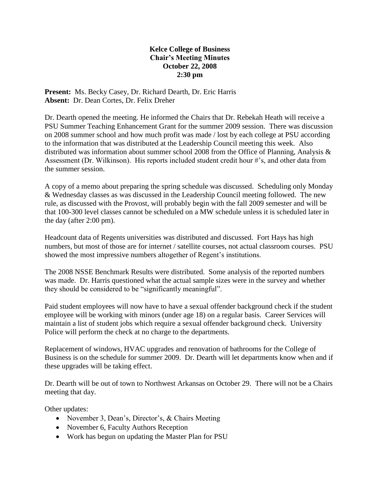## **Kelce College of Business Chair's Meeting Minutes October 22, 2008 2:30 pm**

**Present:** Ms. Becky Casey, Dr. Richard Dearth, Dr. Eric Harris **Absent:** Dr. Dean Cortes, Dr. Felix Dreher

Dr. Dearth opened the meeting. He informed the Chairs that Dr. Rebekah Heath will receive a PSU Summer Teaching Enhancement Grant for the summer 2009 session. There was discussion on 2008 summer school and how much profit was made / lost by each college at PSU according to the information that was distributed at the Leadership Council meeting this week. Also distributed was information about summer school 2008 from the Office of Planning, Analysis & Assessment (Dr. Wilkinson). His reports included student credit hour #'s, and other data from the summer session.

A copy of a memo about preparing the spring schedule was discussed. Scheduling only Monday & Wednesday classes as was discussed in the Leadership Council meeting followed. The new rule, as discussed with the Provost, will probably begin with the fall 2009 semester and will be that 100-300 level classes cannot be scheduled on a MW schedule unless it is scheduled later in the day (after 2:00 pm).

Headcount data of Regents universities was distributed and discussed. Fort Hays has high numbers, but most of those are for internet / satellite courses, not actual classroom courses. PSU showed the most impressive numbers altogether of Regent's institutions.

The 2008 NSSE Benchmark Results were distributed. Some analysis of the reported numbers was made. Dr. Harris questioned what the actual sample sizes were in the survey and whether they should be considered to be "significantly meaningful".

Paid student employees will now have to have a sexual offender background check if the student employee will be working with minors (under age 18) on a regular basis. Career Services will maintain a list of student jobs which require a sexual offender background check. University Police will perform the check at no charge to the departments.

Replacement of windows, HVAC upgrades and renovation of bathrooms for the College of Business is on the schedule for summer 2009. Dr. Dearth will let departments know when and if these upgrades will be taking effect.

Dr. Dearth will be out of town to Northwest Arkansas on October 29. There will not be a Chairs meeting that day.

Other updates:

- November 3, Dean's, Director's, & Chairs Meeting
- November 6, Faculty Authors Reception
- Work has begun on updating the Master Plan for PSU